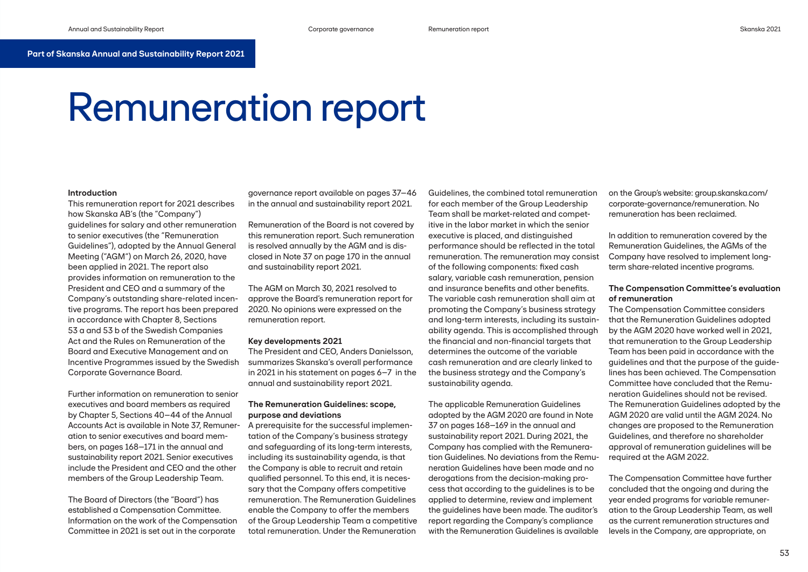# **Part of Skanska Annual and Sustainability Report 2021**

# Remuneration report

## **Introduction**

This remuneration report for 2021 describes how Skanska AB's (the "Company") guidelines for salary and other remuneration to senior executives (the "Remuneration Guidelines"), adopted by the Annual General Meeting ("AGM") on March 26, 2020, have been applied in 2021. The report also provides information on remuneration to the President and CEO and a summary of the Company's outstanding share-related incentive programs. The report has been prepared in accordance with Chapter 8, Sections 53 a and 53 b of the Swedish Companies Act and the Rules on Remuneration of the Board and Executive Management and on Incentive Programmes issued by the Swedish Corporate Governance Board.

Further information on remuneration to senior executives and board members as required by Chapter 5, Sections 40–44 of the Annual Accounts Act is available in Note 37, Remuneration to senior executives and board members, on pages 168–171 in the annual and sustainability report 2021. Senior executives include the President and CEO and the other members of the Group Leadership Team.

The Board of Directors (the "Board") has established a Compensation Committee. Information on the work of the Compensation Committee in 2021 is set out in the corporate

governance report available on pages 37–46 in the annual and sustainability report 2021.

Remuneration of the Board is not covered by this remuneration report. Such remuneration is resolved annually by the AGM and is disclosed in Note 37 on page 170 in the annual and sustainability report 2021.

The AGM on March 30, 2021 resolved to approve the Board's remuneration report for 2020. No opinions were expressed on the remuneration report.

## **Key developments 2021**

The President and CEO, Anders Danielsson, summarizes Skanska's overall performance in 2021 in his statement on pages 6–7 in the annual and sustainability report 2021.

## **The Remuneration Guidelines: scope, purpose and deviations**

A prerequisite for the successful implementation of the Company's business strategy and safeguarding of its long-term interests, including its sustainability agenda, is that the Company is able to recruit and retain qualified personnel. To this end, it is necessary that the Company offers competitive remuneration. The Remuneration Guidelines enable the Company to offer the members of the Group Leadership Team a competitive total remuneration. Under the Remuneration

Guidelines, the combined total remuneration for each member of the Group Leadership Team shall be market-related and competitive in the labor market in which the senior executive is placed, and distinguished performance should be reflected in the total remuneration. The remuneration may consist of the following components: fixed cash salary, variable cash remuneration, pension and insurance benefits and other benefits. The variable cash remuneration shall aim at promoting the Company's business strategy and long-term interests, including its sustainability agenda. This is accomplished through the financial and non-financial targets that determines the outcome of the variable cash remuneration and are clearly linked to the business strategy and the Company's sustainability agenda.

The applicable Remuneration Guidelines adopted by the AGM 2020 are found in Note 37 on pages 168–169 in the annual and sustainability report 2021. During 2021, the Company has complied with the Remuneration Guidelines. No deviations from the Remuneration Guidelines have been made and no derogations from the decision-making process that according to the guidelines is to be applied to determine, review and implement the guidelines have been made. The auditor's report regarding the Company's compliance with the Remuneration Guidelines is available

on the Group's website: group.skanska.com/ corporate-governance/remuneration. No remuneration has been reclaimed.

In addition to remuneration covered by the Remuneration Guidelines, the AGMs of the Company have resolved to implement longterm share-related incentive programs.

# **The Compensation Committee's evaluation of remuneration**

The Compensation Committee considers that the Remuneration Guidelines adopted by the AGM 2020 have worked well in 2021, that remuneration to the Group Leadership Team has been paid in accordance with the guidelines and that the purpose of the guidelines has been achieved. The Compensation Committee have concluded that the Remuneration Guidelines should not be revised. The Remuneration Guidelines adopted by the AGM 2020 are valid until the AGM 2024. No changes are proposed to the Remuneration Guidelines, and therefore no shareholder approval of remuneration guidelines will be required at the AGM 2022.

The Compensation Committee have further concluded that the ongoing and during the year ended programs for variable remuneration to the Group Leadership Team, as well as the current remuneration structures and levels in the Company, are appropriate, on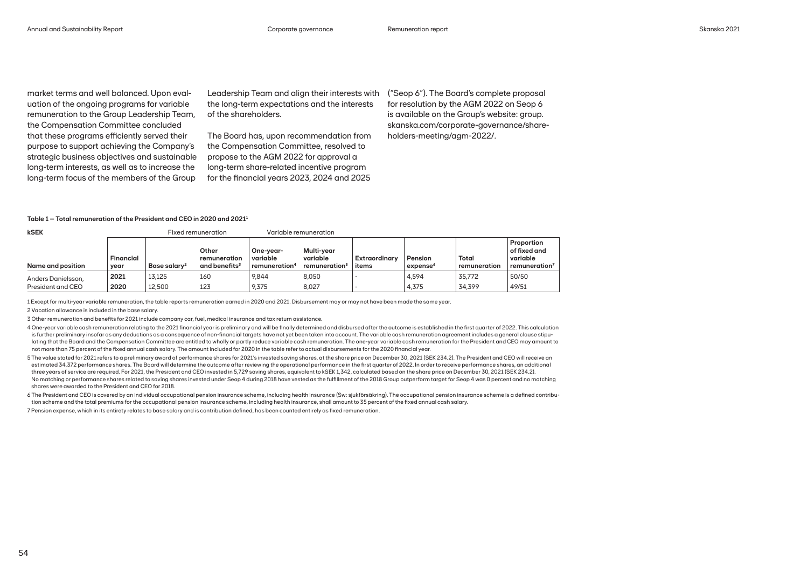market terms and well balanced. Upon evaluation of the ongoing programs for variable remuneration to the Group Leadership Team, the Compensation Committee concluded that these programs efficiently served their purpose to support achieving the Company's strategic business objectives and sustainable long-term interests, as well as to increase the long-term focus of the members of the Group

Leadership Team and align their interests with the long-term expectations and the interests of the shareholders.

The Board has, upon recommendation from the Compensation Committee, resolved to propose to the AGM 2022 for approval a long-term share-related incentive program for the financial years 2023, 2024 and 2025

("Seop 6"). The Board's complete proposal for resolution by the AGM 2022 on Seop 6 is available on the Group's website: group. skanska.com/corporate-governance/shareholders-meeting/agm-2022/.

#### **Table 1 – Total remuneration of the President and CEO in 2020 and 20211**

| kSEK               | Fixed remuneration       |                          |                                                    | Variable remuneration                 |                                                     |                               |                                 |                       |                                                                     |
|--------------------|--------------------------|--------------------------|----------------------------------------------------|---------------------------------------|-----------------------------------------------------|-------------------------------|---------------------------------|-----------------------|---------------------------------------------------------------------|
| Name and position  | <b>Financial</b><br>vear | Base salary <sup>2</sup> | Other<br>remuneration<br>and benefits <sup>3</sup> | One-vear-<br>variable<br>remuneration | Multi-vear<br>variable<br>remuneration <sup>5</sup> | <b>Extraordinary</b><br>items | Pension<br>expense <sup>6</sup> | Total<br>remuneration | Proportion<br>of fixed and<br>variable<br>remuneration <sup>7</sup> |
| Anders Danielsson, | 2021                     | 13.125                   | 160                                                | 9.844                                 | 8,050                                               |                               | 4,594                           | 35.772                | 50/50                                                               |
| President and CEO  | 2020                     | 12,500                   | 123                                                | 9,375                                 | 8,027                                               |                               | 4,375                           | 34,399                | 49/51                                                               |

1 Except for multi-year variable remuneration, the table reports remuneration earned in 2020 and 2021. Disbursement may or may not have been made the same year.

2 Vacation allowance is included in the base salary.

3 Other remuneration and benefits for 2021 include company car, fuel, medical insurance and tax return assistance.

4 One-year variable cash remuneration relating to the 2021 financial year is preliminary and will be finally determined and disbursed after the outcome is established in the first quarter of 2022. This calculation is further preliminary insofar as any deductions as a consequence of non-financial targets have not yet been taken into account. The variable cash remuneration agreement includes a general clause stipulating that the Board and the Compensation Committee are entitled to wholly or partly reduce variable cash remuneration. The one-year variable cash remuneration for the President and CEO may amount to not more than 75 percent of the fixed annual cash salary. The amount included for 2020 in the table refer to actual disbursements for the 2020 financial year.

5 The value stated for 2021 refers to a preliminary award of performance shares for 2021's invested saving shares, at the share price on December 30, 2021 (SEK 234.2). The President and CEO will receive an estimated 34,372 performance shares. The Board will determine the outcome after reviewing the operational performance in the first quarter of 2022. In order to receive performance shares, an additional three years of service are required. For 2021, the President and CEO invested in 5,729 saving shares, equivalent to kSEK 1,342, calculated based on the share price on December 30, 2021 (SEK 234.2). No matching or performance shares related to saving shares invested under Seop 4 during 2018 have vested as the fulfillment of the 2018 Group outperform target for Seop 4 was 0 percent and no matching shares were awarded to the President and CEO for 2018.

6 The President and CEO is covered by an individual occupational pension insurance scheme, including health insurance (Sw: sjukförsäkring). The occupational pension insurance scheme is a defined contribution scheme and the total premiums for the occupational pension insurance scheme, including health insurance, shall amount to 35 percent of the fixed annual cash salary.

7 Pension expense, which in its entirety relates to base salary and is contribution defined, has been counted entirely as fixed remuneration.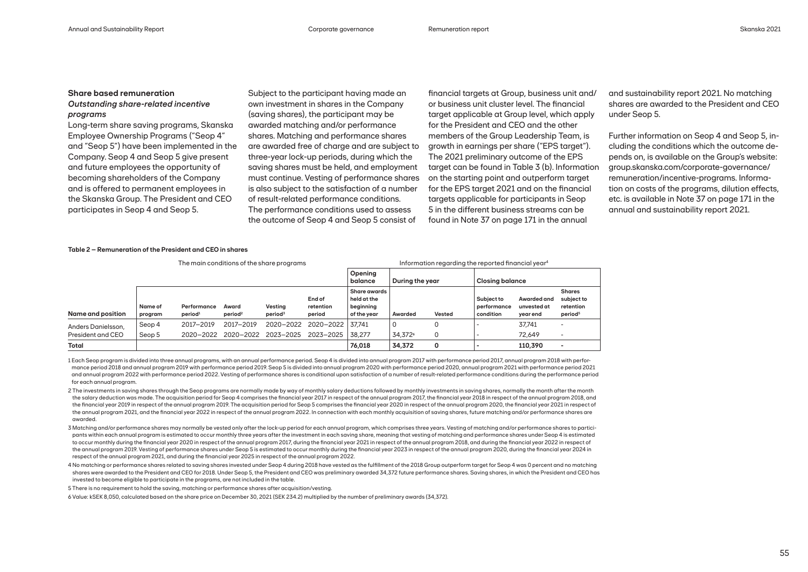# **Share based remuneration**

## *Outstanding share-related incentive programs*

Long-term share saving programs, Skanska Employee Ownership Programs ("Seop 4" and "Seop 5") have been implemented in the Company. Seop 4 and Seop 5 give present and future employees the opportunity of becoming shareholders of the Company and is offered to permanent employees in the Skanska Group. The President and CEO participates in Seop 4 and Seop 5.

Subject to the participant having made an own investment in shares in the Company (saving shares), the participant may be awarded matching and/or performance shares. Matching and performance shares are awarded free of charge and are subject to three-year lock-up periods, during which the saving shares must be held, and employment must continue. Vesting of performance shares is also subject to the satisfaction of a number of result-related performance conditions. The performance conditions used to assess the outcome of Seop 4 and Seop 5 consist of

financial targets at Group, business unit and/ or business unit cluster level. The financial target applicable at Group level, which apply for the President and CEO and the other members of the Group Leadership Team, is growth in earnings per share ("EPS target"). The 2021 preliminary outcome of the EPS target can be found in Table 3 (b). Information on the starting point and outperform target for the EPS target 2021 and on the financial targets applicable for participants in Seop 5 in the different business streams can be found in Note 37 on page 171 in the annual

and sustainability report 2021. No matching shares are awarded to the President and CEO under Seop 5.

Further information on Seop 4 and Seop 5, including the conditions which the outcome depends on, is available on the Group's website: group.skanska.com/corporate-governance/ remuneration/incentive-programs. Information on costs of the programs, dilution effects, etc. is available in Note 37 on page 171 in the annual and sustainability report 2021.

## **Table 2 – Remuneration of the President and CEO in shares**

|                    | The main conditions of the share programs |                                    |                              |                                |                               | Information regarding the reported financial year <sup>4</sup> |                     |        |                                        |                                        |                                                                 |
|--------------------|-------------------------------------------|------------------------------------|------------------------------|--------------------------------|-------------------------------|----------------------------------------------------------------|---------------------|--------|----------------------------------------|----------------------------------------|-----------------------------------------------------------------|
|                    |                                           |                                    |                              |                                |                               | Opening<br>balance                                             | During the year     |        | <b>Closing balance</b>                 |                                        |                                                                 |
| Name and position  | Name of<br>program                        | Performance<br>period <sup>1</sup> | Award<br>period <sup>2</sup> | Vestina<br>period <sup>3</sup> | End of<br>retention<br>period | <b>Share awards</b><br>held at the<br>beginning<br>of the vear | Awarded             | Vested | Subject to<br>performance<br>condition | Awarded and<br>unvested at<br>year end | <b>Shares</b><br>subject to<br>retention<br>period <sup>5</sup> |
| Anders Danielsson, | Seop 4                                    | 2017-2019                          | 2017-2019                    | 2020-2022                      | 2020-2022                     | 37.741                                                         | 0                   |        |                                        | 37.741                                 |                                                                 |
| President and CEO  | Seop 5                                    | 2020-2022                          | 2020-2022                    | 2023-2025                      | 2023-2025                     | 38.277                                                         | 34,372 <sup>6</sup> | 0      |                                        | 72.649                                 |                                                                 |
| <b>Total</b>       |                                           |                                    |                              |                                |                               | 76.018                                                         | 34,372              | 0      |                                        | 110,390                                |                                                                 |

1 Each Seop program is divided into three annual programs, with an annual performance period. Seop 4 is divided into annual program 2017 with performance period 2017, annual program 2018 with performance period 2018 and annual program 2019 with performance period 2019. Seop 5 is divided into annual program 2020 with performance period 2020, annual program 2021 with performance period 2021 and annual program 2022 with performance period 2022. Vesting of performance shares is conditional upon satisfaction of a number of result-related performance conditions during the performance period for each annual program.

2 The investments in saving shares through the Seop programs are normally made by way of monthly salary deductions followed by monthly investments in saving shares, normally the month after the month the salary deduction was made. The acquisition period for Seop 4 comprises the financial year 2017 in respect of the annual program 2017, the financial year 2018 in respect of the annual program 2018, and the financial year 2019 in respect of the annual program 2019. The acquisition period for Seop 5 comprises the financial year 2020 in respect of the annual program 2020, the financial year 2021 in respect of the annual program 2021, and the financial year 2022 in respect of the annual program 2022. In connection with each monthly acquisition of saving shares, future matching and/or performance shares are awarded.

3 Matching and/or performance shares may normally be vested only after the lock-up period for each annual program, which comprises three years. Vesting of matching and/or performance shares to participants within each annual program is estimated to occur monthly three years after the investment in each saving share, meaning that vesting of matching and performance shares under Seop 4 is estimated to occur monthly during the financial year 2020 in respect of the annual program 2017, during the financial year 2021 in respect of the annual program 2018, and during the financial year 2022 in respect of the annual program 2019. Vesting of performance shares under Seop 5 is estimated to occur monthly during the financial year 2023 in respect of the annual program 2020, during the financial year 2024 in respect of the annual program 2021, and during the financial year 2025 in respect of the annual program 2022.

4 No matching or performance shares related to saving shares invested under Seop 4 during 2018 have vested as the fulfillment of the 2018 Group outperform target for Seop 4 was 0 percent and no matching shares were awarded to the President and CEO for 2018. Under Seop 5, the President and CEO was preliminary awarded 34,372 future performance shares. Saving shares, in which the President and CEO has invested to become eligible to participate in the programs, are not included in the table.

5 There is no requirement to hold the saving, matching or performance shares after acquisition/vesting.

6 Value: kSEK 8,050, calculated based on the share price on December 30, 2021 (SEK 234.2) multiplied by the number of preliminary awards (34,372).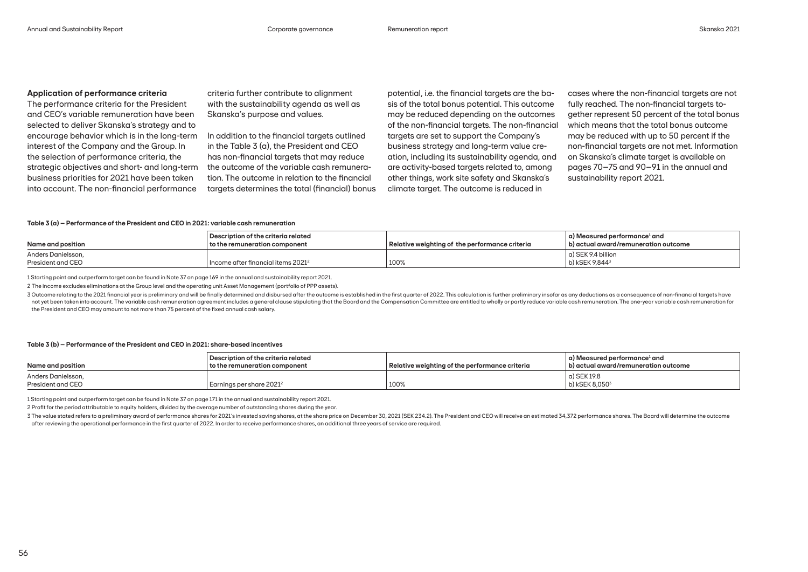## **Application of performance criteria**

The performance criteria for the President and CEO's variable remuneration have been selected to deliver Skanska's strategy and to encourage behavior which is in the long-term interest of the Company and the Group. In the selection of performance criteria, the strategic objectives and short- and long-term business priorities for 2021 have been taken into account. The non-financial performance

criteria further contribute to alignment with the sustainability agenda as well as Skanska's purpose and values.

In addition to the financial targets outlined in the Table 3 (a), the President and CEO has non-financial targets that may reduce the outcome of the variable cash remuneration. The outcome in relation to the financial targets determines the total (financial) bonus

potential, i.e. the financial targets are the basis of the total bonus potential. This outcome may be reduced depending on the outcomes of the non-financial targets. The non-financial targets are set to support the Company's business strategy and long-term value creation, including its sustainability agenda, and are activity-based targets related to, among other things, work site safety and Skanska's climate target. The outcome is reduced in

cases where the non-financial targets are not fully reached. The non-financial targets together represent 50 percent of the total bonus which means that the total bonus outcome may be reduced with up to 50 percent if the non-financial targets are not met. Information on Skanska's climate target is available on pages 70–75 and 90–91 in the annual and sustainability report 2021.

#### **Table 3 (a) – Performance of the President and CEO in 2021: variable cash remuneration**

| Name and position                       | Description of the criteria related<br>l to the remuneration component l | Relative weighting of the performance criteria | $\mid$ a) Measured performance $^{\text{1}}$ and<br>b) actual award/remuneration outcome |
|-----------------------------------------|--------------------------------------------------------------------------|------------------------------------------------|------------------------------------------------------------------------------------------|
| Anders Danielsson,<br>President and CEO | $\frac{1}{2}$ Income after financial items 2021 $^2$                     | 100%                                           | . a) SEK 9.4 billion<br>b) kSEK 9.844 <sup>3</sup>                                       |

1 Starting point and outperform target can be found in Note 37 on page 169 in the annual and sustainability report 2021.

2 The income excludes eliminations at the Group level and the operating unit Asset Management (portfolio of PPP assets).

3 Outcome relating to the 2021 financial year is preliminary and will be finally determined and disbursed after the outcome is established in the first quarter of 2022. This calculation is further preliminary insofar as an not yet been taken into account. The variable cash remuneration agreement includes a general clause stipulating that the Board and the Compensation Committee are entitled to wholly or partly reduce variable cash remunerati the President and CEO may amount to not more than 75 percent of the fixed annual cash salary.

### **Table 3 (b) – Performance of the President and CEO in 2021: share-based incentives**

| Name and position                       | Description of the criteria related<br>to the remuneration component | Relative weighting of the performance criteria | $\mid$ a) Measured performance $^{\text{1}}$ and<br>b) actual award/remuneration outcome |
|-----------------------------------------|----------------------------------------------------------------------|------------------------------------------------|------------------------------------------------------------------------------------------|
| Anders Danielsson,<br>President and CEO | Earnings per share 2021 <sup>2</sup>                                 | 100%                                           | a) SEK 19.8<br>b) kSEK 8,050 <sup>3</sup>                                                |

1 Starting point and outperform target can be found in Note 37 on page 171 in the annual and sustainability report 2021.

2 Profit for the period attributable to equity holders, divided by the average number of outstanding shares during the year.

3 The value stated refers to a preliminary award of performance shares for 2021's invested saving shares, at the share price on December 30, 2021 (SEK 234.2). The President and CEO will receive an estimated 34,372 performa after reviewing the operational performance in the first quarter of 2022. In order to receive performance shares, an additional three years of service are required.